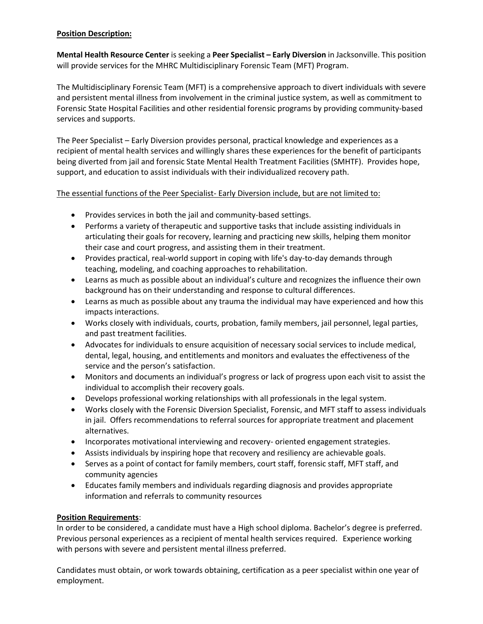## **Position Description:**

**Mental Health Resource Center** is seeking a Peer Specialist - Early Diversion in Jacksonville. This position will provide services for the MHRC Multidisciplinary Forensic Team (MFT) Program.

The Multidisciplinary Forensic Team (MFT) is a comprehensive approach to divert individuals with severe and persistent mental illness from involvement in the criminal justice system, as well as commitment to Forensic State Hospital Facilities and other residential forensic programs by providing community-based services and supports.

The Peer Specialist – Early Diversion provides personal, practical knowledge and experiences as a recipient of mental health services and willingly shares these experiences for the benefit of participants being diverted from jail and forensic State Mental Health Treatment Facilities (SMHTF). Provides hope, support, and education to assist individuals with their individualized recovery path.

## The essential functions of the Peer Specialist- Early Diversion include, but are not limited to:

- Provides services in both the jail and community-based settings.
- Performs a variety of therapeutic and supportive tasks that include assisting individuals in articulating their goals for recovery, learning and practicing new skills, helping them monitor their case and court progress, and assisting them in their treatment.
- Provides practical, real-world support in coping with life's day-to-day demands through teaching, modeling, and coaching approaches to rehabilitation.
- Learns as much as possible about an individual's culture and recognizes the influence their own background has on their understanding and response to cultural differences.
- Learns as much as possible about any trauma the individual may have experienced and how this impacts interactions.
- Works closely with individuals, courts, probation, family members, jail personnel, legal parties, and past treatment facilities.
- Advocates for individuals to ensure acquisition of necessary social services to include medical, dental, legal, housing, and entitlements and monitors and evaluates the effectiveness of the service and the person's satisfaction.
- Monitors and documents an individual's progress or lack of progress upon each visit to assist the individual to accomplish their recovery goals.
- Develops professional working relationships with all professionals in the legal system.
- Works closely with the Forensic Diversion Specialist, Forensic, and MFT staff to assess individuals in jail. Offers recommendations to referral sources for appropriate treatment and placement alternatives.
- Incorporates motivational interviewing and recovery- oriented engagement strategies.
- Assists individuals by inspiring hope that recovery and resiliency are achievable goals.
- Serves as a point of contact for family members, court staff, forensic staff, MFT staff, and community agencies
- Educates family members and individuals regarding diagnosis and provides appropriate information and referrals to community resources

## **Position Requirements**:

In order to be considered, a candidate must have a High school diploma. Bachelor's degree is preferred. Previous personal experiences as a recipient of mental health services required. Experience working with persons with severe and persistent mental illness preferred.

Candidates must obtain, or work towards obtaining, certification as a peer specialist within one year of employment.